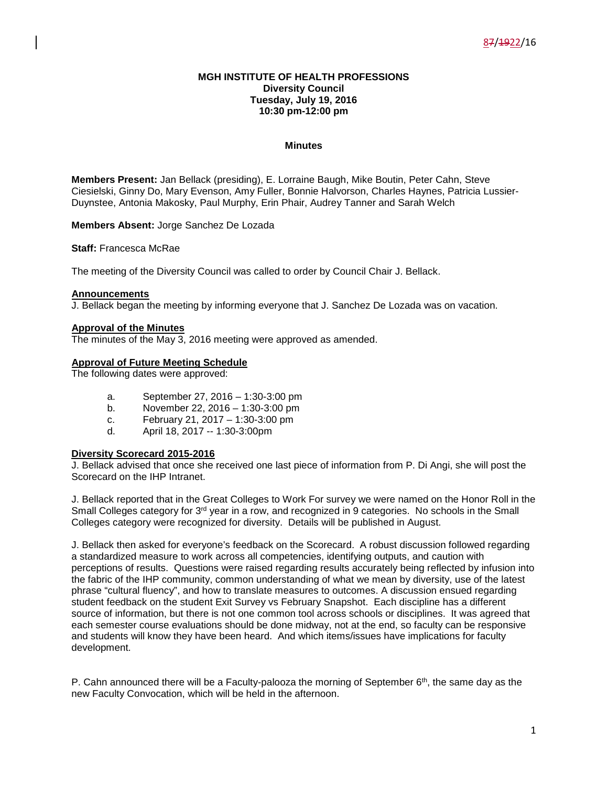### **MGH INSTITUTE OF HEALTH PROFESSIONS Diversity Council Tuesday, July 19, 2016 10:30 pm-12:00 pm**

### **Minutes**

**Members Present:** Jan Bellack (presiding), E. Lorraine Baugh, Mike Boutin, Peter Cahn, Steve Ciesielski, Ginny Do, Mary Evenson, Amy Fuller, Bonnie Halvorson, Charles Haynes, Patricia Lussier-Duynstee, Antonia Makosky, Paul Murphy, Erin Phair, Audrey Tanner and Sarah Welch

**Members Absent:** Jorge Sanchez De Lozada

**Staff:** Francesca McRae

The meeting of the Diversity Council was called to order by Council Chair J. Bellack.

#### **Announcements**

J. Bellack began the meeting by informing everyone that J. Sanchez De Lozada was on vacation.

# **Approval of the Minutes**

The minutes of the May 3, 2016 meeting were approved as amended.

# **Approval of Future Meeting Schedule**

The following dates were approved:

- a. September 27, 2016 1:30-3:00 pm
- b. November 22, 2016 1:30-3:00 pm
- c. February 21, 2017 1:30-3:00 pm
- d. April 18, 2017 -- 1:30-3:00pm

#### **Diversity Scorecard 2015-2016**

J. Bellack advised that once she received one last piece of information from P. Di Angi, she will post the Scorecard on the IHP Intranet.

J. Bellack reported that in the Great Colleges to Work For survey we were named on the Honor Roll in the Small Colleges category for 3<sup>rd</sup> year in a row, and recognized in 9 categories. No schools in the Small Colleges category were recognized for diversity. Details will be published in August.

J. Bellack then asked for everyone's feedback on the Scorecard. A robust discussion followed regarding a standardized measure to work across all competencies, identifying outputs, and caution with perceptions of results. Questions were raised regarding results accurately being reflected by infusion into the fabric of the IHP community, common understanding of what we mean by diversity, use of the latest phrase "cultural fluency", and how to translate measures to outcomes. A discussion ensued regarding student feedback on the student Exit Survey vs February Snapshot. Each discipline has a different source of information, but there is not one common tool across schools or disciplines. It was agreed that each semester course evaluations should be done midway, not at the end, so faculty can be responsive and students will know they have been heard. And which items/issues have implications for faculty development.

P. Cahn announced there will be a Faculty-palooza the morning of September  $6<sup>th</sup>$ , the same day as the new Faculty Convocation, which will be held in the afternoon.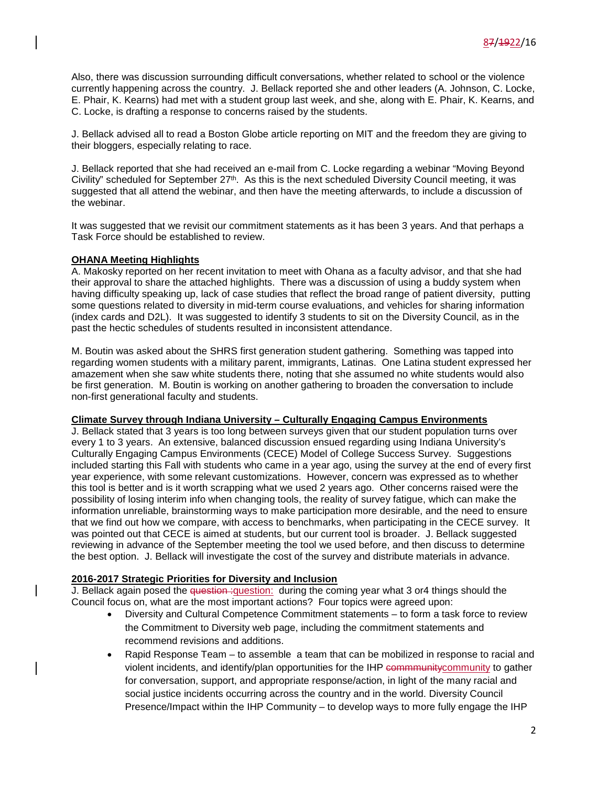Also, there was discussion surrounding difficult conversations, whether related to school or the violence currently happening across the country. J. Bellack reported she and other leaders (A. Johnson, C. Locke, E. Phair, K. Kearns) had met with a student group last week, and she, along with E. Phair, K. Kearns, and C. Locke, is drafting a response to concerns raised by the students.

J. Bellack advised all to read a Boston Globe article reporting on MIT and the freedom they are giving to their bloggers, especially relating to race.

J. Bellack reported that she had received an e-mail from C. Locke regarding a webinar "Moving Beyond Civility" scheduled for September 27<sup>th</sup>. As this is the next scheduled Diversity Council meeting, it was suggested that all attend the webinar, and then have the meeting afterwards, to include a discussion of the webinar.

It was suggested that we revisit our commitment statements as it has been 3 years. And that perhaps a Task Force should be established to review.

# **OHANA Meeting Highlights**

A. Makosky reported on her recent invitation to meet with Ohana as a faculty advisor, and that she had their approval to share the attached highlights. There was a discussion of using a buddy system when having difficulty speaking up, lack of case studies that reflect the broad range of patient diversity, putting some questions related to diversity in mid-term course evaluations, and vehicles for sharing information (index cards and D2L). It was suggested to identify 3 students to sit on the Diversity Council, as in the past the hectic schedules of students resulted in inconsistent attendance.

M. Boutin was asked about the SHRS first generation student gathering. Something was tapped into regarding women students with a military parent, immigrants, Latinas. One Latina student expressed her amazement when she saw white students there, noting that she assumed no white students would also be first generation. M. Boutin is working on another gathering to broaden the conversation to include non-first generational faculty and students.

### **Climate Survey through Indiana University – Culturally Engaging Campus Environments**

J. Bellack stated that 3 years is too long between surveys given that our student population turns over every 1 to 3 years. An extensive, balanced discussion ensued regarding using Indiana University's Culturally Engaging Campus Environments (CECE) Model of College Success Survey. Suggestions included starting this Fall with students who came in a year ago, using the survey at the end of every first year experience, with some relevant customizations. However, concern was expressed as to whether this tool is better and is it worth scrapping what we used 2 years ago. Other concerns raised were the possibility of losing interim info when changing tools, the reality of survey fatigue, which can make the information unreliable, brainstorming ways to make participation more desirable, and the need to ensure that we find out how we compare, with access to benchmarks, when participating in the CECE survey. It was pointed out that CECE is aimed at students, but our current tool is broader. J. Bellack suggested reviewing in advance of the September meeting the tool we used before, and then discuss to determine the best option. J. Bellack will investigate the cost of the survey and distribute materials in advance.

# **2016-2017 Strategic Priorities for Diversity and Inclusion**

J. Bellack again posed the question : question: during the coming year what 3 or4 things should the Council focus on, what are the most important actions? Four topics were agreed upon:

- Diversity and Cultural Competence Commitment statements to form a task force to review the Commitment to Diversity web page, including the commitment statements and recommend revisions and additions.
- Rapid Response Team to assemble a team that can be mobilized in response to racial and violent incidents, and identify/plan opportunities for the IHP commmunitycommunity to gather for conversation, support, and appropriate response/action, in light of the many racial and social justice incidents occurring across the country and in the world. Diversity Council Presence/Impact within the IHP Community – to develop ways to more fully engage the IHP